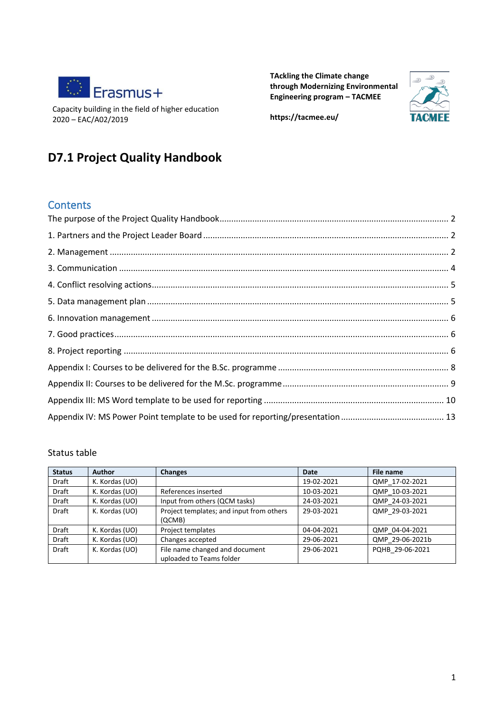

Capacity building in the field of higher education 2020 – EAC/A02/2019

**TAckling the Climate change through Modernizing Environmental Engineering program – TACMEE**



**https://tacmee.eu/**

## **D7.1 Project Quality Handbook**

#### **Contents**

#### Status table

| <b>Status</b> | <b>Author</b>  | <b>Changes</b>                           | Date       | File name       |
|---------------|----------------|------------------------------------------|------------|-----------------|
| Draft         | K. Kordas (UO) |                                          | 19-02-2021 | QMP 17-02-2021  |
| Draft         | K. Kordas (UO) | References inserted                      | 10-03-2021 | QMP 10-03-2021  |
| Draft         | K. Kordas (UO) | Input from others (QCM tasks)            | 24-03-2021 | QMP 24-03-2021  |
| <b>Draft</b>  | K. Kordas (UO) | Project templates; and input from others | 29-03-2021 | QMP 29-03-2021  |
|               |                | (QCMB)                                   |            |                 |
| <b>Draft</b>  | K. Kordas (UO) | Project templates                        | 04-04-2021 | QMP 04-04-2021  |
| <b>Draft</b>  | K. Kordas (UO) | Changes accepted                         | 29-06-2021 | QMP 29-06-2021b |
| <b>Draft</b>  | K. Kordas (UO) | File name changed and document           | 29-06-2021 | PQHB 29-06-2021 |
|               |                | uploaded to Teams folder                 |            |                 |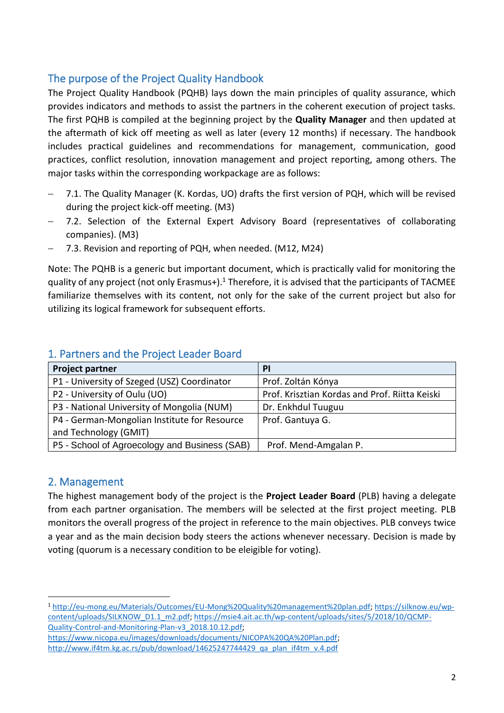## <span id="page-1-0"></span>The purpose of the Project Quality Handbook

The Project Quality Handbook (PQHB) lays down the main principles of quality assurance, which provides indicators and methods to assist the partners in the coherent execution of project tasks. The first PQHB is compiled at the beginning project by the **Quality Manager** and then updated at the aftermath of kick off meeting as well as later (every 12 months) if necessary. The handbook includes practical guidelines and recommendations for management, communication, good practices, conflict resolution, innovation management and project reporting, among others. The major tasks within the corresponding workpackage are as follows:

- 7.1. The Quality Manager (K. Kordas, UO) drafts the first version of PQH, which will be revised during the project kick-off meeting. (M3)
- 7.2. Selection of the External Expert Advisory Board (representatives of collaborating companies). (M3)
- − 7.3. Revision and reporting of PQH, when needed. (M12, M24)

Note: The PQHB is a generic but important document, which is practically valid for monitoring the quality of any project (not only Erasmus+).<sup>1</sup> Therefore, it is advised that the participants of TACMEE familiarize themselves with its content, not only for the sake of the current project but also for utilizing its logical framework for subsequent efforts.

| <b>Project partner</b>                        | <b>PI</b>                                      |
|-----------------------------------------------|------------------------------------------------|
| P1 - University of Szeged (USZ) Coordinator   | Prof. Zoltán Kónya                             |
| P2 - University of Oulu (UO)                  | Prof. Krisztian Kordas and Prof. Riitta Keiski |
| P3 - National University of Mongolia (NUM)    | Dr. Enkhdul Tuuguu                             |
| P4 - German-Mongolian Institute for Resource  | Prof. Gantuya G.                               |
| and Technology (GMIT)                         |                                                |
| P5 - School of Agroecology and Business (SAB) | Prof. Mend-Amgalan P.                          |

#### <span id="page-1-1"></span>1. Partners and the Project Leader Board

#### <span id="page-1-2"></span>2. Management

The highest management body of the project is the **Project Leader Board** (PLB) having a delegate from each partner organisation. The members will be selected at the first project meeting. PLB monitors the overall progress of the project in reference to the main objectives. PLB conveys twice a year and as the main decision body steers the actions whenever necessary. Decision is made by voting (quorum is a necessary condition to be eleigible for voting).

<sup>1</sup> [http://eu-mong.eu/Materials/Outcomes/EU-Mong%20Quality%20management%20plan.pdf;](http://eu-mong.eu/Materials/Outcomes/EU-Mong%20Quality%20management%20plan.pdf) [https://silknow.eu/wp](https://silknow.eu/wp-content/uploads/SILKNOW_D1.1_m2.pdf)[content/uploads/SILKNOW\\_D1.1\\_m2.pdf;](https://silknow.eu/wp-content/uploads/SILKNOW_D1.1_m2.pdf) [https://msie4.ait.ac.th/wp-content/uploads/sites/5/2018/10/QCMP-](https://msie4.ait.ac.th/wp-content/uploads/sites/5/2018/10/QCMP-Quality-Control-and-Monitoring-Plan-v3_2018.10.12.pdf)[Quality-Control-and-Monitoring-Plan-v3\\_2018.10.12.pdf;](https://msie4.ait.ac.th/wp-content/uploads/sites/5/2018/10/QCMP-Quality-Control-and-Monitoring-Plan-v3_2018.10.12.pdf) 

[https://www.nicopa.eu/images/downloads/documents/NICOPA%20QA%20Plan.pdf;](https://www.nicopa.eu/images/downloads/documents/NICOPA%20QA%20Plan.pdf) [http://www.if4tm.kg.ac.rs/pub/download/14625247744429\\_qa\\_plan\\_if4tm\\_v.4.pdf](http://www.if4tm.kg.ac.rs/pub/download/14625247744429_qa_plan_if4tm_v.4.pdf)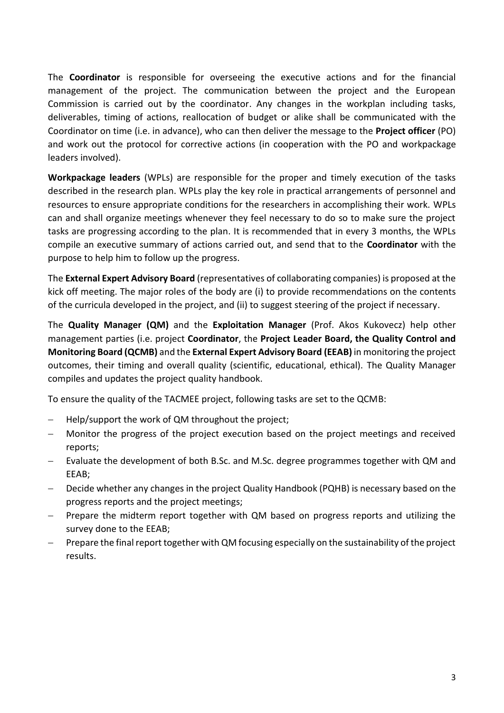The **Coordinator** is responsible for overseeing the executive actions and for the financial management of the project. The communication between the project and the European Commission is carried out by the coordinator. Any changes in the workplan including tasks, deliverables, timing of actions, reallocation of budget or alike shall be communicated with the Coordinator on time (i.e. in advance), who can then deliver the message to the **Project officer** (PO) and work out the protocol for corrective actions (in cooperation with the PO and workpackage leaders involved).

**Workpackage leaders** (WPLs) are responsible for the proper and timely execution of the tasks described in the research plan. WPLs play the key role in practical arrangements of personnel and resources to ensure appropriate conditions for the researchers in accomplishing their work. WPLs can and shall organize meetings whenever they feel necessary to do so to make sure the project tasks are progressing according to the plan. It is recommended that in every 3 months, the WPLs compile an executive summary of actions carried out, and send that to the **Coordinator** with the purpose to help him to follow up the progress.

The **External Expert Advisory Board** (representatives of collaborating companies) is proposed at the kick off meeting. The major roles of the body are (i) to provide recommendations on the contents of the curricula developed in the project, and (ii) to suggest steering of the project if necessary.

The **Quality Manager (QM)** and the **Exploitation Manager** (Prof. Akos Kukovecz) help other management parties (i.e. project **Coordinator**, the **Project Leader Board, the Quality Control and Monitoring Board (QCMB)** and the **External Expert Advisory Board (EEAB)** in monitoring the project outcomes, their timing and overall quality (scientific, educational, ethical). The Quality Manager compiles and updates the project quality handbook.

To ensure the quality of the TACMEE project, following tasks are set to the QCMB:

- − Help/support the work of QM throughout the project;
- − Monitor the progress of the project execution based on the project meetings and received reports;
- − Evaluate the development of both B.Sc. and M.Sc. degree programmes together with QM and EEAB;
- Decide whether any changes in the project Quality Handbook (PQHB) is necessary based on the progress reports and the project meetings;
- Prepare the midterm report together with QM based on progress reports and utilizing the survey done to the EEAB;
- Prepare the final report together with QM focusing especially on the sustainability of the project results.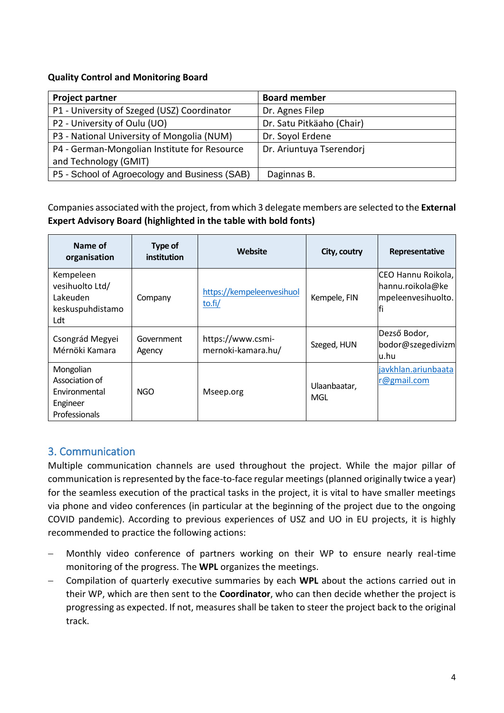#### **Quality Control and Monitoring Board**

| <b>Project partner</b>                        | <b>Board member</b>       |
|-----------------------------------------------|---------------------------|
| P1 - University of Szeged (USZ) Coordinator   | Dr. Agnes Filep           |
| P2 - University of Oulu (UO)                  | Dr. Satu Pitkäaho (Chair) |
| P3 - National University of Mongolia (NUM)    | Dr. Soyol Erdene          |
| P4 - German-Mongolian Institute for Resource  | Dr. Ariuntuya Tserendorj  |
| and Technology (GMIT)                         |                           |
| P5 - School of Agroecology and Business (SAB) | Daginnas B.               |

Companies associated with the project, from which 3 delegate members are selected to the **External Expert Advisory Board (highlighted in the table with bold fonts)**

| Name of<br>organisation                                                   | Type of<br><i>institution</i> | <b>Website</b>                          | City, coutry        | Representative                                               |
|---------------------------------------------------------------------------|-------------------------------|-----------------------------------------|---------------------|--------------------------------------------------------------|
| Kempeleen<br>vesihuolto Ltd/<br>Lakeuden<br>keskuspuhdistamo<br>Ldt       | Company                       | https://kempeleenvesihuol<br>to.fi/     | Kempele, FIN        | CEO Hannu Roikola,<br>hannu.roikola@ke<br>mpeleenvesihuolto. |
| Csongrád Megyei<br>Mérnöki Kamara                                         | Government<br>Agency          | https://www.csmi-<br>mernoki-kamara.hu/ | Szeged, HUN         | Dezső Bodor,<br>bodor@szegedivizm<br>lu.hu                   |
| Mongolian<br>Association of<br>Environmental<br>Engineer<br>Professionals | NGO                           | Mseep.org                               | Ulaanbaatar,<br>MGL | javkhlan.ariunbaata<br>r@gmail.com                           |

#### <span id="page-3-0"></span>3. Communication

Multiple communication channels are used throughout the project. While the major pillar of communication is represented by the face-to-face regular meetings (planned originally twice a year) for the seamless execution of the practical tasks in the project, it is vital to have smaller meetings via phone and video conferences (in particular at the beginning of the project due to the ongoing COVID pandemic). According to previous experiences of USZ and UO in EU projects, it is highly recommended to practice the following actions:

- − Monthly video conference of partners working on their WP to ensure nearly real-time monitoring of the progress. The **WPL** organizes the meetings.
- − Compilation of quarterly executive summaries by each **WPL** about the actions carried out in their WP, which are then sent to the **Coordinator**, who can then decide whether the project is progressing as expected. If not, measures shall be taken to steer the project back to the original track.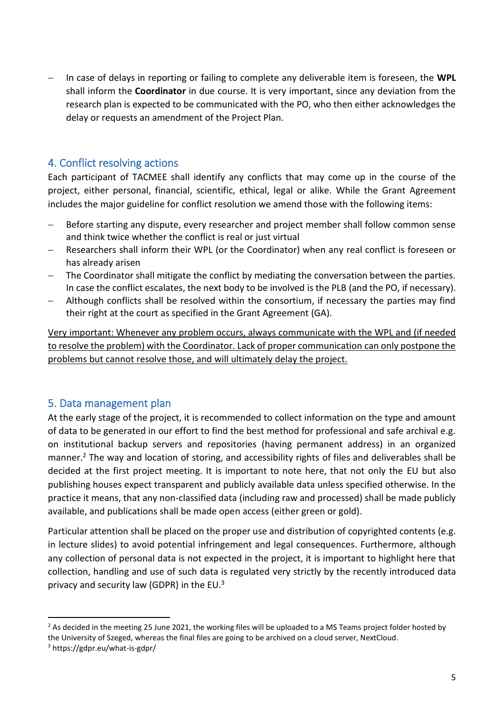− In case of delays in reporting or failing to complete any deliverable item is foreseen, the **WPL** shall inform the **Coordinator** in due course. It is very important, since any deviation from the research plan is expected to be communicated with the PO, who then either acknowledges the delay or requests an amendment of the Project Plan.

#### <span id="page-4-0"></span>4. Conflict resolving actions

Each participant of TACMEE shall identify any conflicts that may come up in the course of the project, either personal, financial, scientific, ethical, legal or alike. While the Grant Agreement includes the major guideline for conflict resolution we amend those with the following items:

- − Before starting any dispute, every researcher and project member shall follow common sense and think twice whether the conflict is real or just virtual
- Researchers shall inform their WPL (or the Coordinator) when any real conflict is foreseen or has already arisen
- The Coordinator shall mitigate the conflict by mediating the conversation between the parties. In case the conflict escalates, the next body to be involved is the PLB (and the PO, if necessary).
- Although conflicts shall be resolved within the consortium, if necessary the parties may find their right at the court as specified in the Grant Agreement (GA).

Very important: Whenever any problem occurs, always communicate with the WPL and (if needed to resolve the problem) with the Coordinator. Lack of proper communication can only postpone the problems but cannot resolve those, and will ultimately delay the project.

#### <span id="page-4-1"></span>5. Data management plan

At the early stage of the project, it is recommended to collect information on the type and amount of data to be generated in our effort to find the best method for professional and safe archival e.g. on institutional backup servers and repositories (having permanent address) in an organized manner.<sup>2</sup> The way and location of storing, and accessibility rights of files and deliverables shall be decided at the first project meeting. It is important to note here, that not only the EU but also publishing houses expect transparent and publicly available data unless specified otherwise. In the practice it means, that any non-classified data (including raw and processed) shall be made publicly available, and publications shall be made open access (either green or gold).

Particular attention shall be placed on the proper use and distribution of copyrighted contents (e.g. in lecture slides) to avoid potential infringement and legal consequences. Furthermore, although any collection of personal data is not expected in the project, it is important to highlight here that collection, handling and use of such data is regulated very strictly by the recently introduced data privacy and security law (GDPR) in the EU.<sup>3</sup>

 $2$  As decided in the meeting 25 June 2021, the working files will be uploaded to a MS Teams project folder hosted by the University of Szeged, whereas the final files are going to be archived on a cloud server, NextCloud.

<sup>3</sup> https://gdpr.eu/what-is-gdpr/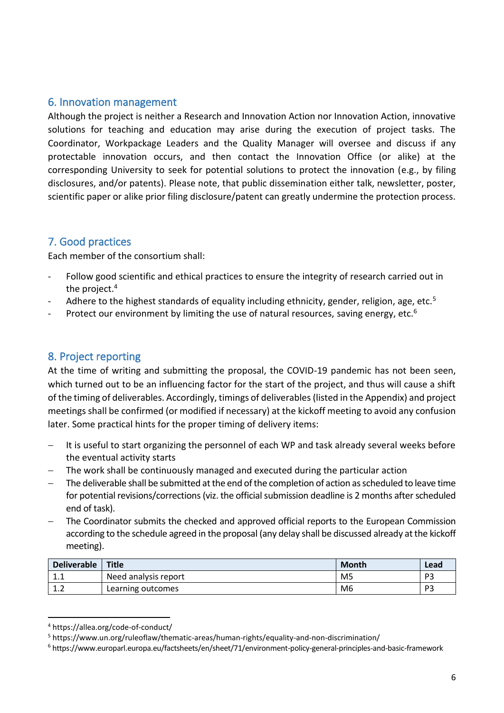#### <span id="page-5-0"></span>6. Innovation management

Although the project is neither a Research and Innovation Action nor Innovation Action, innovative solutions for teaching and education may arise during the execution of project tasks. The Coordinator, Workpackage Leaders and the Quality Manager will oversee and discuss if any protectable innovation occurs, and then contact the Innovation Office (or alike) at the corresponding University to seek for potential solutions to protect the innovation (e.g., by filing disclosures, and/or patents). Please note, that public dissemination either talk, newsletter, poster, scientific paper or alike prior filing disclosure/patent can greatly undermine the protection process.

## <span id="page-5-1"></span>7. Good practices

Each member of the consortium shall:

- Follow good scientific and ethical practices to ensure the integrity of research carried out in the project.<sup>4</sup>
- Adhere to the highest standards of equality including ethnicity, gender, religion, age, etc.<sup>5</sup>
- Protect our environment by limiting the use of natural resources, saving energy, etc. $6$

#### <span id="page-5-2"></span>8. Project reporting

At the time of writing and submitting the proposal, the COVID-19 pandemic has not been seen, which turned out to be an influencing factor for the start of the project, and thus will cause a shift of the timing of deliverables. Accordingly, timings of deliverables (listed in the Appendix) and project meetings shall be confirmed (or modified if necessary) at the kickoff meeting to avoid any confusion later. Some practical hints for the proper timing of delivery items:

- − It is useful to start organizing the personnel of each WP and task already several weeks before the eventual activity starts
- The work shall be continuously managed and executed during the particular action
- The deliverable shall be submitted at the end of the completion of action as scheduled to leave time for potential revisions/corrections (viz. the official submission deadline is 2 months after scheduled end of task).
- The Coordinator submits the checked and approved official reports to the European Commission according to the schedule agreed in the proposal (any delay shall be discussed already at the kickoff meeting).

| <b>Deliverable</b>      | Title                | Month          | Lead |
|-------------------------|----------------------|----------------|------|
| - 1<br><b></b>          | Need analysis report | M <sub>5</sub> | DЭ   |
| $\mathbf{A}$<br><b></b> | Learning outcomes    | M6             | D2   |

<sup>4</sup> https://allea.org/code-of-conduct/

<sup>5</sup> https://www.un.org/ruleoflaw/thematic-areas/human-rights/equality-and-non-discrimination/

<sup>6</sup> https://www.europarl.europa.eu/factsheets/en/sheet/71/environment-policy-general-principles-and-basic-framework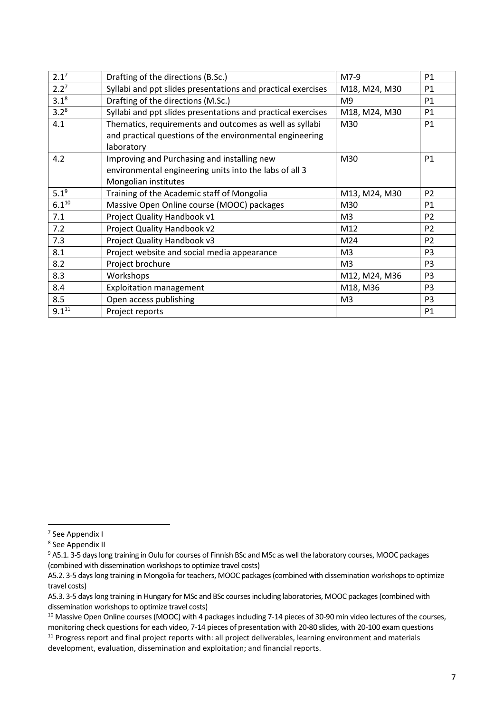<span id="page-6-1"></span><span id="page-6-0"></span>

| 2.1 <sup>7</sup> | Drafting of the directions (B.Sc.)                           | M7-9           | P <sub>1</sub> |
|------------------|--------------------------------------------------------------|----------------|----------------|
| 2.2 <sup>7</sup> | Syllabi and ppt slides presentations and practical exercises | M18, M24, M30  | <b>P1</b>      |
| $3.1^{8}$        | Drafting of the directions (M.Sc.)                           | M <sub>9</sub> | P1             |
| $3.2^8$          | Syllabi and ppt slides presentations and practical exercises | M18, M24, M30  | P1             |
| 4.1              | Thematics, requirements and outcomes as well as syllabi      | M30            | P1             |
|                  | and practical questions of the environmental engineering     |                |                |
|                  | laboratory                                                   |                |                |
| 4.2              | Improving and Purchasing and installing new                  | M30            | <b>P1</b>      |
|                  | environmental engineering units into the labs of all 3       |                |                |
|                  | Mongolian institutes                                         |                |                |
| $5.1^{9}$        | Training of the Academic staff of Mongolia                   | M13, M24, M30  | P <sub>2</sub> |
| $6.1^{10}$       | Massive Open Online course (MOOC) packages                   | M30            | P1             |
| 7.1              | Project Quality Handbook v1                                  | M <sub>3</sub> | P <sub>2</sub> |
| 7.2              | Project Quality Handbook v2                                  | M12            | P <sub>2</sub> |
| 7.3              | Project Quality Handbook v3                                  | M24            | P <sub>2</sub> |
| 8.1              | Project website and social media appearance                  | M <sub>3</sub> | P <sub>3</sub> |
| 8.2              | Project brochure                                             | M <sub>3</sub> | P <sub>3</sub> |
| 8.3              | Workshops                                                    | M12, M24, M36  | P <sub>3</sub> |
| 8.4              | <b>Exploitation management</b>                               | M18, M36       | P <sub>3</sub> |
| 8.5              | Open access publishing                                       | M <sub>3</sub> | P <sub>3</sub> |
| $9.1^{11}$       | Project reports                                              |                | P1             |

<sup>7</sup> See Appendix I

<sup>8</sup> See Appendix II

<sup>9</sup> A5.1. 3-5 days long training in Oulu for courses of Finnish BSc and MSc as well the laboratory courses, MOOC packages (combined with dissemination workshops to optimize travel costs)

A5.2. 3-5 days long training in Mongolia for teachers, MOOC packages (combined with dissemination workshops to optimize travel costs)

A5.3. 3-5 days long training in Hungary for MSc and BSc courses including laboratories, MOOC packages (combined with dissemination workshops to optimize travel costs)

<sup>&</sup>lt;sup>10</sup> Massive Open Online courses (MOOC) with 4 packages including 7-14 pieces of 30-90 min video lectures of the courses, monitoring check questions for each video, 7-14 pieces of presentation with 20-80 slides, with 20-100 exam questions

<sup>&</sup>lt;sup>11</sup> Progress report and final project reports with: all project deliverables, learning environment and materials development, evaluation, dissemination and exploitation; and financial reports.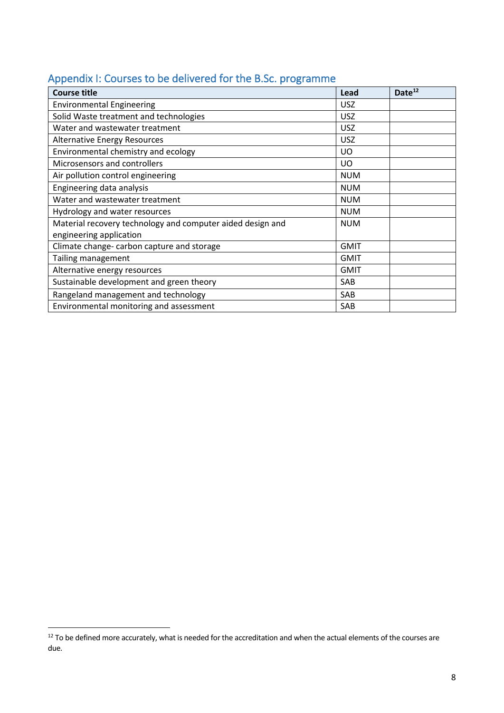<span id="page-7-0"></span>

|  |  | Appendix I: Courses to be delivered for the B.Sc. programme |  |  |
|--|--|-------------------------------------------------------------|--|--|
|--|--|-------------------------------------------------------------|--|--|

| <b>Course title</b>                                        | Lead        | Date <sup>12</sup> |
|------------------------------------------------------------|-------------|--------------------|
| <b>Environmental Engineering</b>                           | <b>USZ</b>  |                    |
| Solid Waste treatment and technologies                     | <b>USZ</b>  |                    |
| Water and wastewater treatment                             | <b>USZ</b>  |                    |
| <b>Alternative Energy Resources</b>                        | <b>USZ</b>  |                    |
| Environmental chemistry and ecology                        | UO.         |                    |
| Microsensors and controllers                               | UO          |                    |
| Air pollution control engineering                          | <b>NUM</b>  |                    |
| Engineering data analysis                                  | <b>NUM</b>  |                    |
| Water and wastewater treatment                             | <b>NUM</b>  |                    |
| Hydrology and water resources                              | <b>NUM</b>  |                    |
| Material recovery technology and computer aided design and | <b>NUM</b>  |                    |
| engineering application                                    |             |                    |
| Climate change-carbon capture and storage                  | <b>GMIT</b> |                    |
| Tailing management                                         | <b>GMIT</b> |                    |
| Alternative energy resources                               | <b>GMIT</b> |                    |
| Sustainable development and green theory                   | SAB         |                    |
| Rangeland management and technology                        | SAB         |                    |
| Environmental monitoring and assessment                    | SAB         |                    |

 $12$  To be defined more accurately, what is needed for the accreditation and when the actual elements of the courses are due.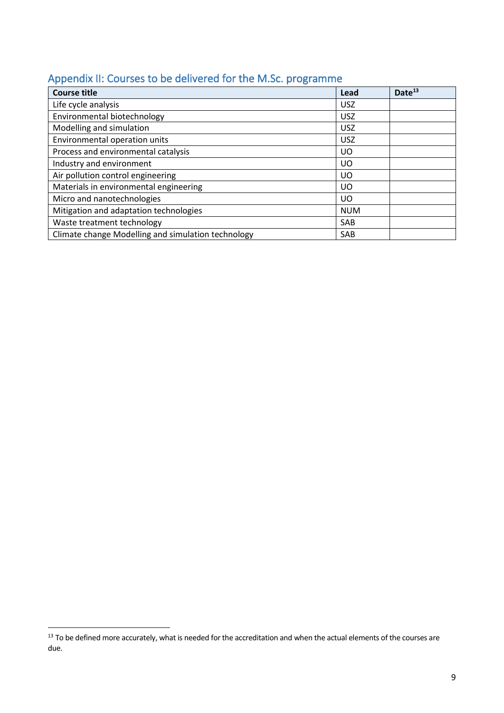<span id="page-8-0"></span>

|  |  | Appendix II: Courses to be delivered for the M.Sc. programme |  |  |  |
|--|--|--------------------------------------------------------------|--|--|--|
|--|--|--------------------------------------------------------------|--|--|--|

| <b>Course title</b>                                | Lead       | Date <sup>13</sup> |
|----------------------------------------------------|------------|--------------------|
| Life cycle analysis                                | <b>USZ</b> |                    |
| Environmental biotechnology                        | <b>USZ</b> |                    |
| Modelling and simulation                           | <b>USZ</b> |                    |
| Environmental operation units                      | <b>USZ</b> |                    |
| Process and environmental catalysis                | UO         |                    |
| Industry and environment                           | UO         |                    |
| Air pollution control engineering                  | UO         |                    |
| Materials in environmental engineering             | UO.        |                    |
| Micro and nanotechnologies                         | UO         |                    |
| Mitigation and adaptation technologies             | <b>NUM</b> |                    |
| Waste treatment technology                         | SAB        |                    |
| Climate change Modelling and simulation technology | SAB        |                    |

 $13$  To be defined more accurately, what is needed for the accreditation and when the actual elements of the courses are due.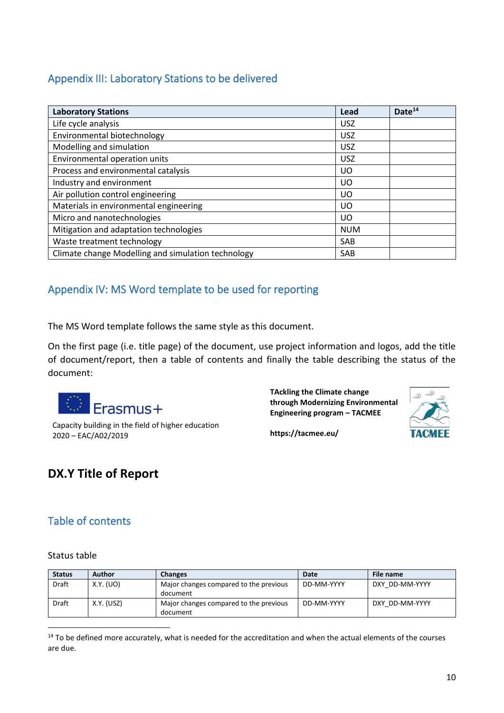#### Appendix III: Laboratory Stations to be delivered

| <b>Laboratory Stations</b>                         | Lead       | Date <sup>14</sup> |
|----------------------------------------------------|------------|--------------------|
| Life cycle analysis                                | <b>USZ</b> |                    |
| Environmental biotechnology                        | <b>USZ</b> |                    |
| Modelling and simulation                           | <b>USZ</b> |                    |
| Environmental operation units                      | <b>USZ</b> |                    |
| Process and environmental catalysis                | UO         |                    |
| Industry and environment                           | UO         |                    |
| Air pollution control engineering                  | UO         |                    |
| Materials in environmental engineering             | UO         |                    |
| Micro and nanotechnologies                         | UO         |                    |
| Mitigation and adaptation technologies             | <b>NUM</b> |                    |
| Waste treatment technology                         | SAB        |                    |
| Climate change Modelling and simulation technology | SAB        |                    |

## <span id="page-9-0"></span>Appendix IV: MS Word template to be used for reporting

The MS Word template follows the same style as this document.

On the first page (i.e. title page) of the document, use project information and logos, add the title of document/report, then a table of contents and finally the table describing the status of the document:



Capacity building in the field of higher education 2020 – EAC/A02/2019

**TAckling the Climate change through Modernizing Environmental Engineering program – TACMEE**



**https://tacmee.eu/**

## **DX.Y Title of Report**

## Table of contents

#### Status table

| <b>Status</b> | Author     | <b>Changes</b>                                     | Date       | File name      |
|---------------|------------|----------------------------------------------------|------------|----------------|
| <b>Draft</b>  | X.Y. (UO)  | Major changes compared to the previous<br>document | DD-MM-YYYY | DXY DD-MM-YYYY |
| Draft         | X.Y. (USZ) | Major changes compared to the previous<br>document | DD-MM-YYYY | DXY DD-MM-YYYY |

<sup>14</sup> To be defined more accurately, what is needed for the accreditation and when the actual elements of the courses are due.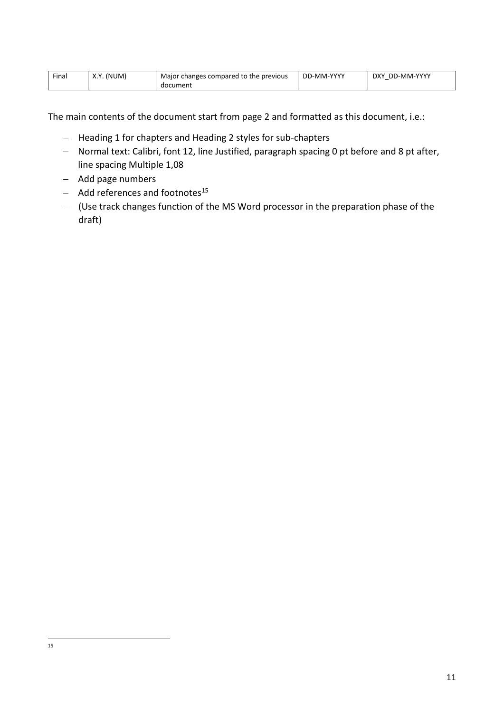| $- \cdot$<br>Final | (NUM<br>V <sub>1</sub><br>Λ. Ι | Maior<br>r changes compared to the <b>s</b><br>previous ! | DD-MM-YYYY | DD-MM-YYYY<br>DXY<br>- |
|--------------------|--------------------------------|-----------------------------------------------------------|------------|------------------------|
|                    |                                | document                                                  |            |                        |

The main contents of the document start from page 2 and formatted as this document, i.e.:

- − Heading 1 for chapters and Heading 2 styles for sub-chapters
- − Normal text: Calibri, font 12, line Justified, paragraph spacing 0 pt before and 8 pt after, line spacing Multiple 1,08
- − Add page numbers
- − Add references and footnotes<sup>15</sup>
- − (Use track changes function of the MS Word processor in the preparation phase of the draft)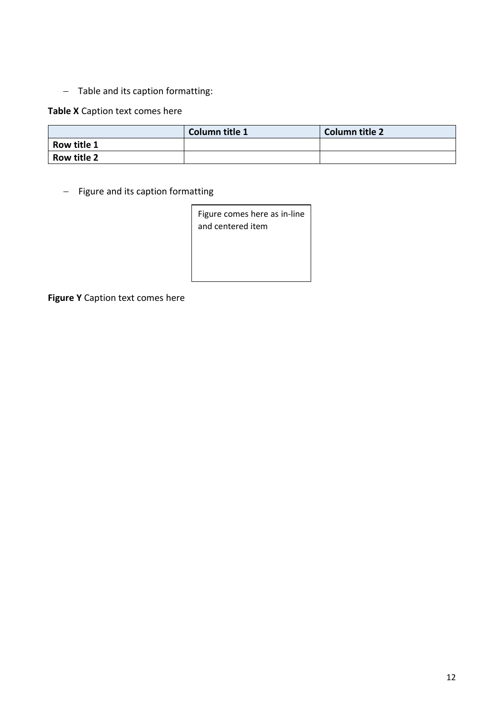− Table and its caption formatting:

#### **Table X** Caption text comes here

|                    | Column title 1 | <b>Column title 2</b> |
|--------------------|----------------|-----------------------|
| Row title 1        |                |                       |
| <b>Row title 2</b> |                |                       |

− Figure and its caption formatting

| Figure comes here as in-line |
|------------------------------|
| and centered item            |
|                              |
|                              |
|                              |

**Figure Y** Caption text comes here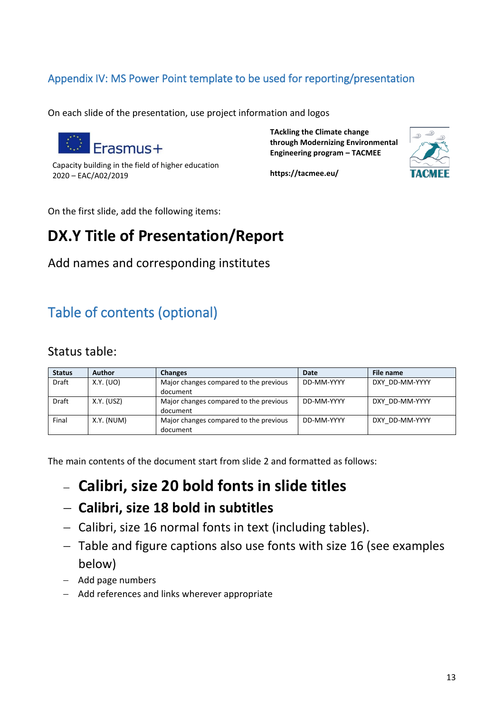## <span id="page-12-0"></span>Appendix IV: MS Power Point template to be used for reporting/presentation

On each slide of the presentation, use project information and logos



Capacity building in the field of higher education 2020 – EAC/A02/2019

**TAckling the Climate change through Modernizing Environmental Engineering program – TACMEE**



**https://tacmee.eu/**

On the first slide, add the following items:

## **DX.Y Title of Presentation/Report**

Add names and corresponding institutes

# Table of contents (optional)

## Status table:

| <b>Status</b> | Author     | <b>Changes</b>                         | Date       | File name      |
|---------------|------------|----------------------------------------|------------|----------------|
| <b>Draft</b>  | X.Y. (UO)  | Major changes compared to the previous | DD-MM-YYYY | DXY DD-MM-YYYY |
|               |            | document                               |            |                |
| Draft         | X.Y. (USZ) | Major changes compared to the previous | DD-MM-YYYY | DXY DD-MM-YYYY |
|               |            | document                               |            |                |
| Final         | X.Y. (NUM) | Major changes compared to the previous | DD-MM-YYYY | DXY DD-MM-YYYY |
|               |            | document                               |            |                |

The main contents of the document start from slide 2 and formatted as follows:

− **Calibri, size 20 bold fonts in slide titles**

- − **Calibri, size 18 bold in subtitles**
- − Calibri, size 16 normal fonts in text (including tables).
- − Table and figure captions also use fonts with size 16 (see examples below)
- − Add page numbers
- − Add references and links wherever appropriate